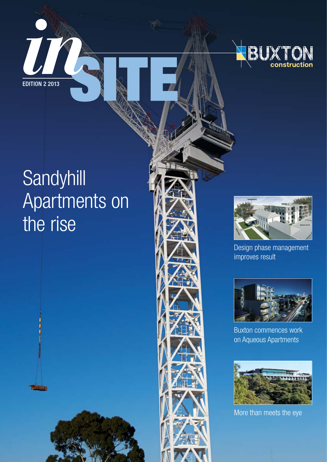



# **Sandyhill** Apartments on the rise





Design phase management improves result



Buxton commences work on Aqueous Apartments



More than meets the eye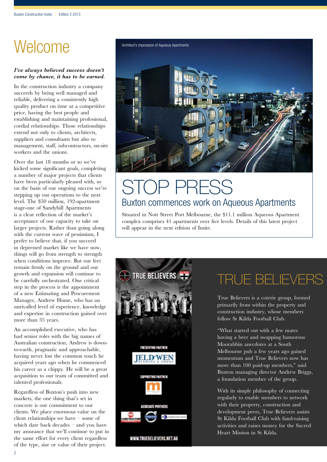# Welcome

#### *I've always believed success doesn't come by chance, it has to be earned.*

In the construction industry a company succeeds by being well managed and reliable, delivering a consistently high quality product on time at a competitive price, having the best people and establishing and maintaining professional, cordial relationships. Those relationships extend not only to clients, architects, suppliers and consultants but also to management, staff, subcontractors, on-site workers and the unions.

Over the last 18 months or so we've kicked some significant goals, completing a number of major projects that clients have been particularly pleased with, so on the basis of our ongoing success we're stepping up our operations to the next level. The \$50 million, 192-apartment stage-one of Sandyhill Apartments is a clear reflection of the market's acceptance of our capacity to take on larger projects. Rather than going along with the current wave of pessimism, I prefer to believe that, if you succeed in depressed market like we have now, things will go from strength to strength when conditions improve. But our feet remain firmly on the ground and our growth and expansion will continue to be carefully orchestrated. One critical step in the process is the appointment of a new Estimating and Procurement Manager, Andrew Hume, who has an unrivalled level of experience, knowledge and expertise in construction gained over more than 35 years.

An accomplished executive, who has had senior roles with the big names of Australian construction, Andrew is downto-earth, pragmatic and approachable, having never lost the common touch he acquired years ago when he commenced his career as a chippy. He will be a great acquisition to our team of committed and talented professionals.

Regardless of Buxton's push into new markets, the one thing that's set in concrete is our commitment to our clients. We place enormous value on the client relationships we have – some of which date back decades – and you have my assurance that we'll continue to put in the same effort for every client regardless of the type, size or value of their project.



### TOP PRESS Buxton commences work on Aqueous Apartments

Situated in Nott Street Port Melbourne, the \$11.1 million Aqueous Apartment complex comprises 41 apartments over five levels. Details of this latest project will appear in the next edition of Insite.



### TRUE BELIEVERS

True Believers is a coterie group, formed primarily from within the property and construction industry, whose members follow St Kilda Football Club.

"What started out with a few mates having a beer and swapping humorous Moorabbin anecdotes at a South Melbourne pub a few years ago gained momentum and True Believers now has more than 100 paid-up members," said Buxton managing director Andrew Briggs, a foundation member of the group.

With its simple philosophy of connecting regularly to enable members to network with their property, construction and development peers, True Believers assists St Kilda Football Club with fund-raising activities and raises money for the Sacred Heart Mission in St Kilda.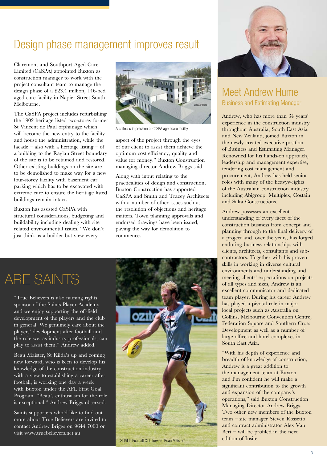### Design phase management improves result

Claremont and Southport Aged Care Limited (CaSPA) appointed Buxton as construction manager to work with the project consultant team to manage the design phase of a \$23.4 million, 146-bed aged care facility in Napier Street South Melbourne.

The CaSPA project includes refurbishing the 1902 heritage listed two-storey former St Vincent de Paul orphanage which will become the new entry to the facility and house the administration, while the facade – also with a heritage listing – of a building to the Raglan Street boundary of the site is to be retained and restored. Other existing buildings on the site are to be demolished to make way for a new four-storey facility with basement car parking which has to be excavated with extreme care to ensure the heritage listed buildings remain intact.

Buxton has assisted CaSPA with structural considerations, budgeting and buildability including dealing with site related environmental issues. "We don't just think as a builder but view every



Architect's impression of CaSPA aged care facility

aspect of the project through the eyes of our client to assist them achieve the optimum cost efficiency, quality and value for money." Buxton Construction managing director Andrew Briggs said.

Along with input relating to the practicalities of design and construction, Buxton Construction has supported CaSPA and Smith and Tracey Architects with a number of other issues such as the resolution of objections and heritage matters. Town planning approvals and endorsed drawings have been issued, paving the way for demolition to commence.

### ARE SAINTS

"True Believers is also naming rights sponsor of the Saints Player Academy and we enjoy supporting the off-field development of the players and the club in general. We genuinely care about the players' development after football and the role we, as industry professionals, can play to assist them." Andrew added.

Beau Maister, St Kilda's up and coming new forward, who is keen to develop his knowledge of the construction industry with a view to establishing a career after football, is working one day a week with Buxton under the AFL First Goal Program. "Beau's enthusiasm for the role is exceptional," Andrew Briggs observed.

Saints supporters who'd like to find out more about True Believers are invited to contact Andrew Briggs on 9644 7000 or visit www.truebelievers.net.au



St Kilda Football Club forward Beau Maister



### Meet Andrew Hume Business and Estimating Manager

Andrew, who has more than 34 years' experience in the construction industry throughout Australia, South East Asia and New Zealand, joined Buxton in the newly created executive position of Business and Estimating Manager. Renowned for his hands-on approach, leadership and management expertise, tendering cost management and procurement, Andrew has held senior roles with many of the heavyweights of the Australian construction industry including Abigroup, Multiplex, Costain and Salta Constructions.

Andrew possesses an excellent understanding of every facet of the construction business from concept and planning through to the final delivery of a project and, over the years, has forged enduring business relationships with clients, architects, consultants and subcontractors. Together with his proven skills in working in diverse cultural environments and understanding and meeting clients' expectations on projects of all types and sizes, Andrew is an excellent communicator and dedicated team player. During his career Andrew has played a pivotal role in major local projects such as Australia on Collins, Melbourne Convention Centre, Federation Square and Southern Cross Development as well as a number of large office and hotel complexes in South East Asia.

"With his depth of experience and breadth of knowledge of construction, Andrew is a great addition to the management team at Buxton and I'm confident he will make a significant contribution to the growth and expansion of the company's operations," said Buxton Construction Managing Director Andrew Briggs. Two other new members of the Buxton team – site manager Steven Rossetto and contract administrator Alex Van Bert – will be profiled in the next edition of Insite.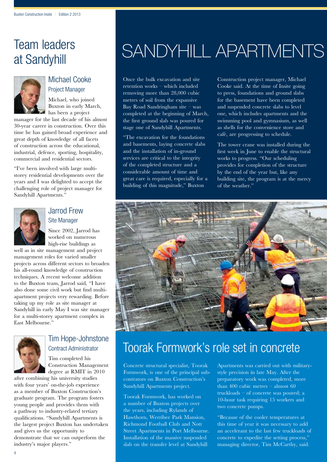### Team leaders at Sandyhill



### Michael Cooke Project Manager

Michael, who joined Buxton in early March, has been a project

manager for the last decade of his almost 30-year career in construction. Over this time he has gained broad experience and great depth of knowledge of all facets of construction across the educational, industrial, defence, sporting, hospitality, commercial and residential sectors.

"I've been involved with large multistorey residential developments over the years and I was delighted to accept the challenging role of project manager for Sandyhill Apartments."



### Jarrod Frew Site Manager

Since 2002, Jarrod has worked on numerous high-rise buildings as

well as in site management and project management roles for varied smaller projects across different sectors to broaden his all-round knowledge of construction techniques. A recent welcome addition to the Buxton team, Jarrod said, "I have also done some civil work but find multiapartment projects very rewarding. Before taking up my role as site manager at Sandyhill in early May I was site manager for a multi-storey apartment complex in East Melbourne."



### Tim Hope-Johnstone Contract Administrator

Tim completed his Construction Management degree at RMIT in 2010

after combining his university studies with four years' on-the-job experience as a member of Buxton Construction's graduate program. The program fosters young people and provides them with a pathway to industry-related tertiary qualifications. "Sandyhill Apartments is the largest project Buxton has undertaken and gives us the opportunity to demonstrate that we can outperform the industry's major players."

# SANDYHILL APARTMENTS

Once the bulk excavation and site retention works – which included removing more than 28,000 cubic metres of soil from the expansive Bay Road Sandringham site – was completed at the beginning of March, the first ground slab was poured for stage one of Sandyhill Apartments.

"The excavation for the foundations and basements, laying concrete slabs and the installation of in-ground services are critical to the integrity of the completed structure and a considerable amount of time and great care is required, especially for a building of this magnitude," Buxton

Construction project manager, Michael Cooke said. At the time of Insite going to press, foundations and ground slabs for the basement have been completed and suspended concrete slabs to level one, which includes apartments and the swimming pool and gymnasium, as well as shells for the convenience store and café, are progressing to schedule.

The tower crane was installed during the first week in June to enable the structural works to progress. "Our scheduling provides for completion of the structure by the end of the year but, like any building site, the program is at the mercy of the weather."



### Toorak Formwork's role set in concrete

Concrete structural specialist, Toorak Formwork, is one of the principal subcontrators on Buxton Construction's Sandyhill Apartments project.

Toorak Formwork, has worked on a number of Buxton projects over the years, including Rylands of Hawthorn, Werribee Park Mansion, Richmond Football Club and Nott Street Apartments in Port Melbourne. Installation of the massive suspended slab on the transfer level at Sandyhill

Apartments was carried out with militarystyle precision in late May. After the preparatory work was completed, more than 400 cubic metres  $-\overline{\text{almost}}$  60 truckloads – of concrete was poured; a 10-hour task requiring 15 workers and two concrete pumps.

"Because of the cooler temperatures at this time of year it was necessary to add an accelerant to the last few truckloads of concrete to expedite the setting process,' managing director, Tim McCarthy, said.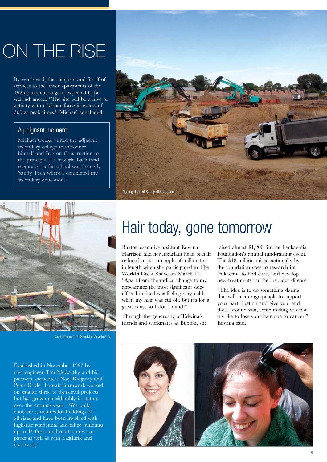# ON THE RISE

By year's end, the rough-in and fit-off of services to the lower apartments of the 192-apartment stage is expected to be well advanced. "The site will be a hive of activity with a labour force in excess of 300 at peak times," Michael concluded.

### A poignant moment

Michael Cooke visited the adjacent secondary college to introduce himself and Buxton Construction to the principal. "It brought back fond memories as the school was formerly Sandy Tech where I completed my secondary education."





Concrete pour at Sandyhill Apartments

Established in November 1987 by civil engineer Tim McCarthy and his partners, carpenters Noel Ridgway and Peter Doyle, Toorak Formwork worked on smaller three to four-level projects but has grown considerably in stature over the ensuing years. "We build concrete structures for buildings of all sizes and have been involved with high-rise residential and office buildings up to 44 floors and multi-storey car parks as well as with EastLink and civil work.'

## Hair today, gone tomorrow

Buxton executive assistant Edwina Harrison had her luxuriant head of hair reduced to just a couple of millimetres in length when she participated in The World's Great Shave on March 15. "Apart from the radical change to my appearance the most significant sideeffect I noticed was feeling very cold when my hair was cut off, but it's for a great cause so I don't mind."

Through the generosity of Edwina's friends and workmates at Buxton, she raised almost \$1,200 for the Leukaemia Foundation's annual fund-raising event. The \$18 million raised nationally by the foundation goes to research into leukaemia to find cures and develop new treatments for the insidious disease.

"The idea is to do something daring that will encourage people to support your participation and give you, and those around you, some inkling of what it's like to lose your hair due to cancer," Edwina said.

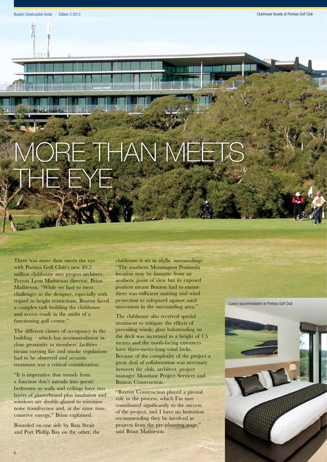# $B = T - A N$ THE EXECUTIVE

There was more than meets the eye with Portsea Golf Club's new \$9.2 million clubhouse says project architect, Perrott Lyon Mathieson director, Brian Mathieson. "While we had to meet challenges as the designer, especially with regard to height restrictions, Buxton faced a complex task building the clubhouse and access roads in the midst of a functioning golf course."

The different classes of occupancy in the building – which has accommodation in close proximity to members' facilities – meant varying fire and smoke regulations had to be observed and acoustic treatment was a critical consideration.

"It is imperative that sounds from a function don't intrude into guests' bedrooms so walls and ceilings have two layers of plasterboard plus insulation and windows are double-glazed to minimise noise transference and, at the same time, conserve energy," Brian explained.

Bounded on one side by Bass Strait and Port Phillip Bay on the other, the clubhouse is set in idyllic surroundings. "The southern Mornington Peninsula location may be fantastic from an aesthetic point of view but its exposed position meant Buxton had to ensure there was sufficient matting and wind protection to safeguard against sand movement in the surrounding area."

The clubhouse also received special treatment to mitigate the effects of prevailing winds; glass balustrading on the deck was increased to a height of 1.5 metres and the north-facing entrances have three-metre-long wind locks. Because of the complexity of the project a great deal of collaboration was necessary between the club, architect, project manager Montlaur Project Services and Buxton Construction.

"Buxton Construction played a pivotal role in the process, which I'm sure contributed significantly to the success of the project, and I have no hesitation recommending they be involved in projects from the pre-planning stage,' said Brian Mathieson.

Luxury accommodation at Portsea Golf Club

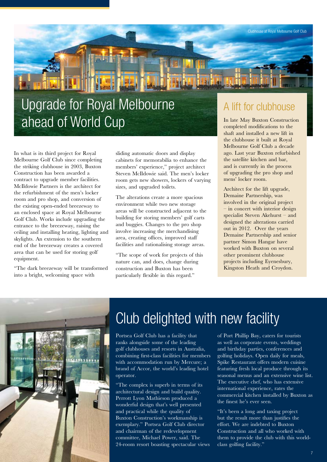

## Upgrade for Royal Melbourne ahead of World Cup

In what is its third project for Royal Melbourne Golf Club since completing the striking clubhouse in 2003, Buxton Construction has been awarded a contract to upgrade member facilities. McIldowie Partners is the architect for the refurbishment of the men's locker room and pro shop, and conversion of the existing open-ended breezeway to an enclosed space at Royal Melbourne Golf Club. Works include upgrading the entrance to the breezeway, raising the ceiling and installing heating, lighting and skylights. An extension to the southern end of the breezeway creates a covered area that can be used for storing golf equipment.

"The dark breezeway will be transformed into a bright, welcoming space with

sliding automatic doors and display cabinets for memorabilia to enhance the members' experience," project architect Steven McIldowie said. The men's locker room gets new showers, lockers of varying sizes, and upgraded toilets.

The alterations create a more spacious environment while two new storage areas will be constructed adjacent to the building for storing members' golf carts and buggies. Changes to the pro shop involve increasing the merchandising area, creating offices, improved staff facilities and rationalising storage areas.

"The scope of work for projects of this nature can, and does, change during construction and Buxton has been particularly flexible in this regard."

### A lift for clubhouse

In late May Buxton Construction completed modifications to the shaft and installed a new lift in the clubhouse it built at Royal Melbourne Golf Club a decade ago. Last year Buxton refurbished the satellite kitchen and bar, and is currently in the process of upgrading the pro shop and mens' locker room.

Architect for the lift upgrade, Demaine Partnership, was involved in the original project – in concert with interior design specialist Steven Akehurst – and designed the alterations carried out in 2012. Over the years Demaine Partnership and senior partner Simon Hangar have worked with Buxton on several other prominent clubhouse projects including Eyenesbury, Kingston Heath and Croydon.



## Club delighted with new facility

Portsea Golf Club has a facility that ranks alongside some of the leading golf clubhouses and resorts in Australia, combining first-class facilities for members with accommodation run by Mercure; a brand of Accor, the world's leading hotel operator.

"The complex is superb in terms of its architectural design and build quality. Perrott Lyon Mathieson produced a wonderful design that's well presented and practical while the quality of Buxton Construction's workmanship is exemplary." Portsea Golf Club director and chairman of the redevelopment committee, Michael Power, said. The 24-room resort boasting spectacular views of Port Phillip Bay, caters for tourists as well as corporate events, weddings and birthday parties, conferences and golfing holidays. Open daily for meals, Spike Restaurant offers modern cuisine featuring fresh local produce through its seasonal menus and an extensive wine list. The executive chef, who has extensive international experience, rates the commercial kitchen installed by Buxton as the finest he's ever seen.

"It's been a long and taxing project but the result more than justifies the effort. We are indebted to Buxton Construction and all who worked with them to provide the club with this worldclass golfing facility."